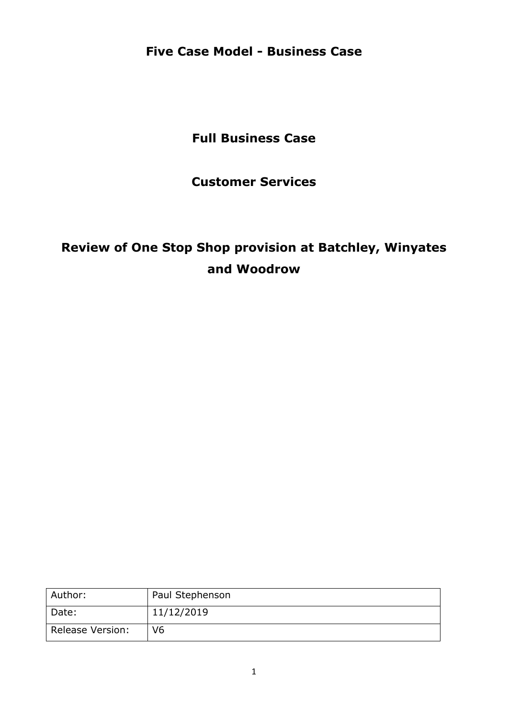**Five Case Model - Business Case**

**Full Business Case**

**Customer Services**

# **Review of One Stop Shop provision at Batchley, Winyates and Woodrow**

| Author:                 | Paul Stephenson |
|-------------------------|-----------------|
| Date:                   | 11/12/2019      |
| <b>Release Version:</b> | V <sub>6</sub>  |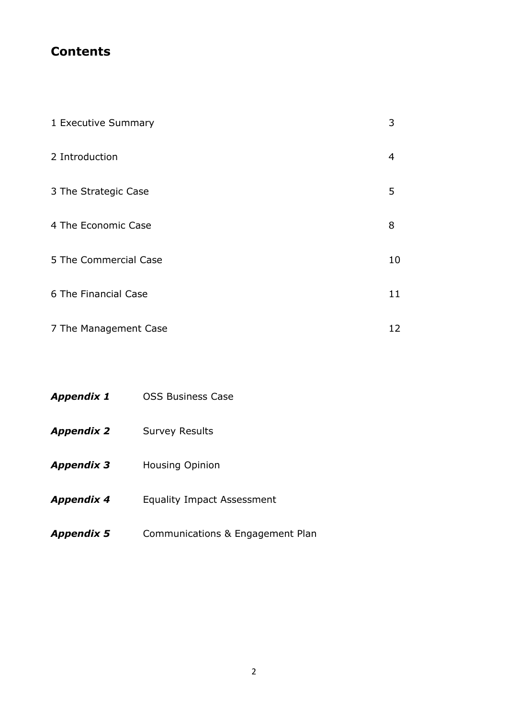### **Contents**

| 1 Executive Summary   | 3  |
|-----------------------|----|
| 2 Introduction        | 4  |
| 3 The Strategic Case  | 5  |
| 4 The Economic Case   | 8  |
| 5 The Commercial Case | 10 |
| 6 The Financial Case  | 11 |
| 7 The Management Case | 12 |

| <b>Appendix 1</b> | <b>OSS Business Case</b>          |  |  |  |  |  |
|-------------------|-----------------------------------|--|--|--|--|--|
| <b>Appendix 2</b> | <b>Survey Results</b>             |  |  |  |  |  |
| <b>Appendix 3</b> | <b>Housing Opinion</b>            |  |  |  |  |  |
| <b>Appendix 4</b> | <b>Equality Impact Assessment</b> |  |  |  |  |  |
| <b>Appendix 5</b> | Communications & Engagement Plan  |  |  |  |  |  |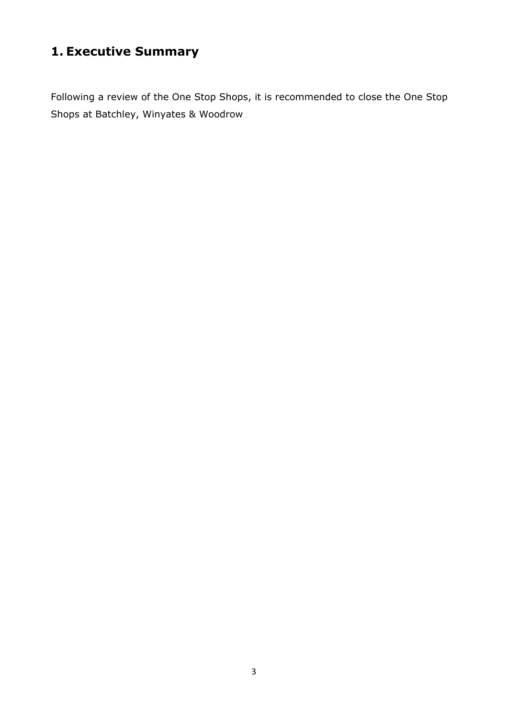# **1. Executive Summary**

Following a review of the One Stop Shops, it is recommended to close the One Stop Shops at Batchley, Winyates & Woodrow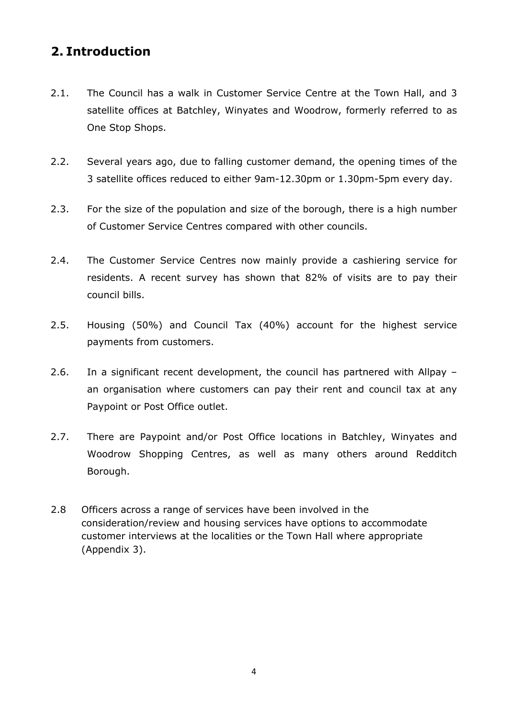## **2. Introduction**

- 2.1. The Council has a walk in Customer Service Centre at the Town Hall, and 3 satellite offices at Batchley, Winyates and Woodrow, formerly referred to as One Stop Shops.
- 2.2. Several years ago, due to falling customer demand, the opening times of the 3 satellite offices reduced to either 9am-12.30pm or 1.30pm-5pm every day.
- 2.3. For the size of the population and size of the borough, there is a high number of Customer Service Centres compared with other councils.
- 2.4. The Customer Service Centres now mainly provide a cashiering service for residents. A recent survey has shown that 82% of visits are to pay their council bills.
- 2.5. Housing (50%) and Council Tax (40%) account for the highest service payments from customers.
- 2.6. In a significant recent development, the council has partnered with Allpay an organisation where customers can pay their rent and council tax at any Paypoint or Post Office outlet.
- 2.7. There are Paypoint and/or Post Office locations in Batchley, Winyates and Woodrow Shopping Centres, as well as many others around Redditch Borough.
- 2.8 Officers across a range of services have been involved in the consideration/review and housing services have options to accommodate customer interviews at the localities or the Town Hall where appropriate (Appendix 3).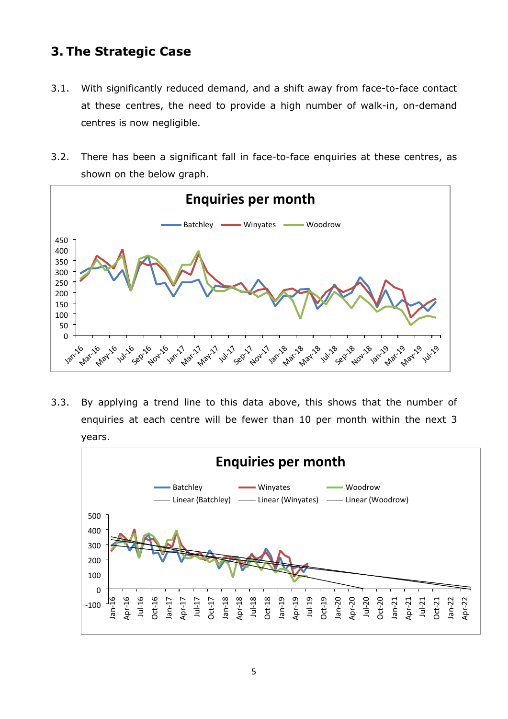### **3. The Strategic Case**

- 3.1. With significantly reduced demand, and a shift away from face-to-face contact at these centres, the need to provide a high number of walk-in, on-demand centres is now negligible.
- 3.2. There has been a significant fall in face-to-face enquiries at these centres, as shown on the below graph.



3.3. By applying a trend line to this data above, this shows that the number of enquiries at each centre will be fewer than 10 per month within the next 3 years.

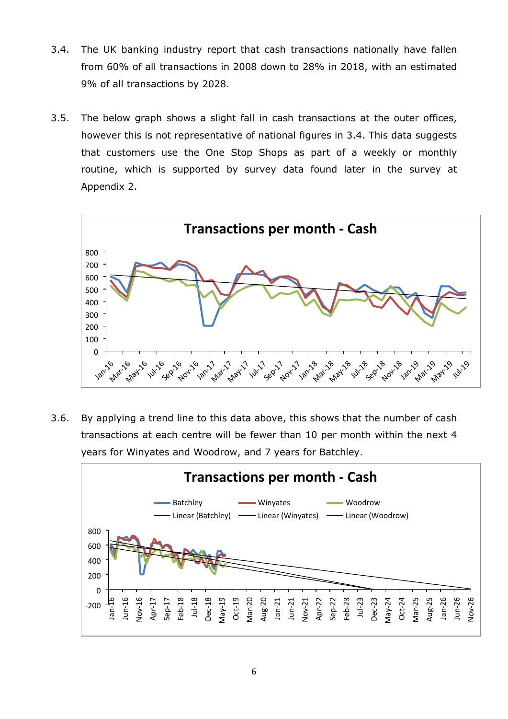- 3.4. The UK banking industry report that cash transactions nationally have fallen from 60% of all transactions in 2008 down to 28% in 2018, with an estimated 9% of all transactions by 2028.
- 3.5. The below graph shows a slight fall in cash transactions at the outer offices, however this is not representative of national figures in 3.4. This data suggests that customers use the One Stop Shops as part of a weekly or monthly routine, which is supported by survey data found later in the survey at Appendix 2.



3.6. By applying a trend line to this data above, this shows that the number of cash transactions at each centre will be fewer than 10 per month within the next 4 years for Winyates and Woodrow, and 7 years for Batchley.

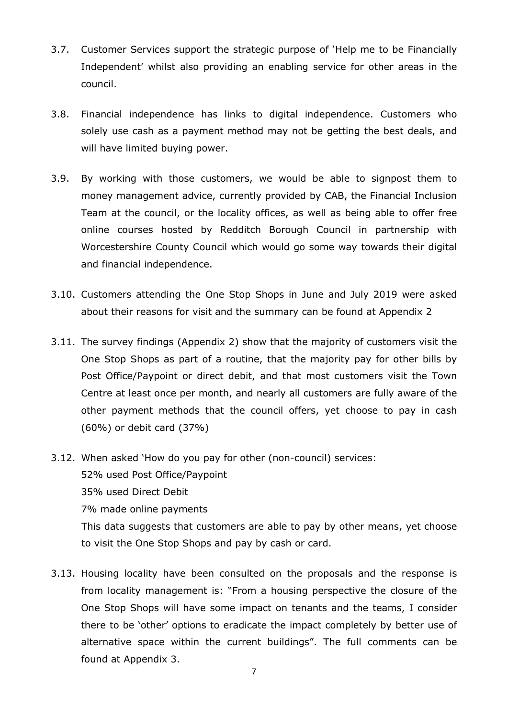- 3.7. Customer Services support the strategic purpose of 'Help me to be Financially Independent' whilst also providing an enabling service for other areas in the council.
- 3.8. Financial independence has links to digital independence. Customers who solely use cash as a payment method may not be getting the best deals, and will have limited buying power.
- 3.9. By working with those customers, we would be able to signpost them to money management advice, currently provided by CAB, the Financial Inclusion Team at the council, or the locality offices, as well as being able to offer free online courses hosted by Redditch Borough Council in partnership with Worcestershire County Council which would go some way towards their digital and financial independence.
- 3.10. Customers attending the One Stop Shops in June and July 2019 were asked about their reasons for visit and the summary can be found at Appendix 2
- 3.11. The survey findings (Appendix 2) show that the majority of customers visit the One Stop Shops as part of a routine, that the majority pay for other bills by Post Office/Paypoint or direct debit, and that most customers visit the Town Centre at least once per month, and nearly all customers are fully aware of the other payment methods that the council offers, yet choose to pay in cash (60%) or debit card (37%)
- 3.12. When asked 'How do you pay for other (non-council) services: 52% used Post Office/Paypoint 35% used Direct Debit 7% made online payments This data suggests that customers are able to pay by other means, yet choose to visit the One Stop Shops and pay by cash or card.
- 3.13. Housing locality have been consulted on the proposals and the response is from locality management is: "From a housing perspective the closure of the One Stop Shops will have some impact on tenants and the teams, I consider there to be 'other' options to eradicate the impact completely by better use of alternative space within the current buildings". The full comments can be found at Appendix 3.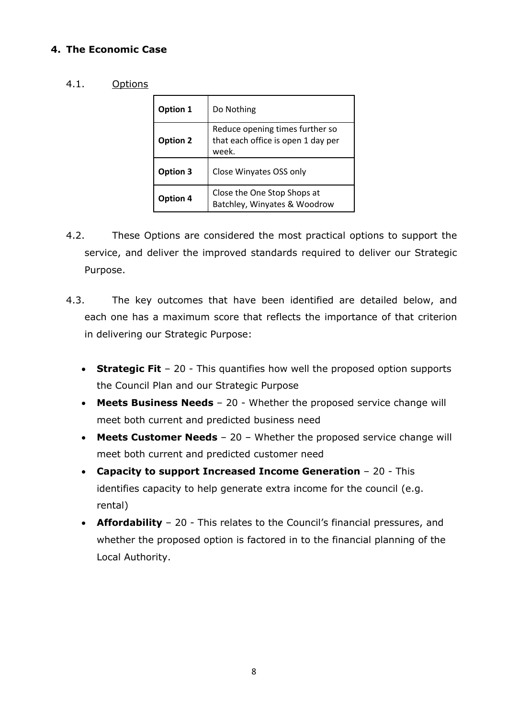#### **4. The Economic Case**

#### 4.1. Options

| Option 1                                                                | Do Nothing                                                                     |
|-------------------------------------------------------------------------|--------------------------------------------------------------------------------|
| <b>Option 2</b>                                                         | Reduce opening times further so<br>that each office is open 1 day per<br>week. |
| Option 3                                                                | Close Winyates OSS only                                                        |
| Close the One Stop Shops at<br>Option 4<br>Batchley, Winyates & Woodrow |                                                                                |

- 4.2. These Options are considered the most practical options to support the service, and deliver the improved standards required to deliver our Strategic Purpose.
- 4.3. The key outcomes that have been identified are detailed below, and each one has a maximum score that reflects the importance of that criterion in delivering our Strategic Purpose:
	- **Strategic Fit** 20 This quantifies how well the proposed option supports the Council Plan and our Strategic Purpose
	- **Meets Business Needs** 20 Whether the proposed service change will meet both current and predicted business need
	- **Meets Customer Needs** 20 Whether the proposed service change will meet both current and predicted customer need
	- **Capacity to support Increased Income Generation** 20 This identifies capacity to help generate extra income for the council (e.g. rental)
	- **Affordability** 20 This relates to the Council's financial pressures, and whether the proposed option is factored in to the financial planning of the Local Authority.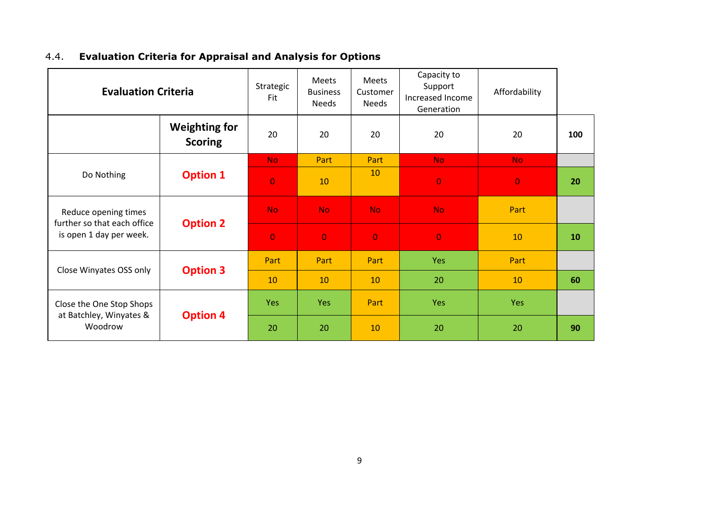|  |  |  |  |  | 4.4. Evaluation Criteria for Appraisal and Analysis for Options |
|--|--|--|--|--|-----------------------------------------------------------------|
|--|--|--|--|--|-----------------------------------------------------------------|

| <b>Evaluation Criteria</b>                                                     |                                        | Strategic<br>Fit | Meets<br><b>Business</b><br><b>Needs</b> | Meets<br>Customer<br><b>Needs</b> | Capacity to<br>Support<br>Increased Income<br>Generation | Affordability  |     |
|--------------------------------------------------------------------------------|----------------------------------------|------------------|------------------------------------------|-----------------------------------|----------------------------------------------------------|----------------|-----|
|                                                                                | <b>Weighting for</b><br><b>Scoring</b> | 20               | 20                                       | 20                                | 20                                                       | 20             | 100 |
| Do Nothing                                                                     | <b>Option 1</b>                        | No.              | Part                                     | Part                              | <b>No</b>                                                | No.            |     |
|                                                                                |                                        | $\overline{0}$   | 10                                       | 10                                | $\overline{0}$                                           | $\overline{0}$ | 20  |
| Reduce opening times<br>further so that each office<br>is open 1 day per week. | <b>Option 2</b>                        | No.              | No.                                      | <b>No</b>                         | <b>No</b>                                                | Part           |     |
|                                                                                |                                        | $\overline{0}$   | $\overline{0}$                           | $\overline{0}$                    | $\overline{0}$                                           | 10             | 10  |
| Close Winyates OSS only                                                        | <b>Option 3</b>                        | Part             | Part                                     | Part                              | Yes                                                      | Part           |     |
|                                                                                |                                        | 10               | 10                                       | 10                                | 20                                                       | 10             | 60  |
| Close the One Stop Shops<br>at Batchley, Winyates &<br>Woodrow                 | <b>Option 4</b>                        | <b>Yes</b>       | Yes                                      | Part                              | <b>Yes</b>                                               | Yes            |     |
|                                                                                |                                        | 20               | 20                                       | 10                                | 20                                                       | 20             | 90  |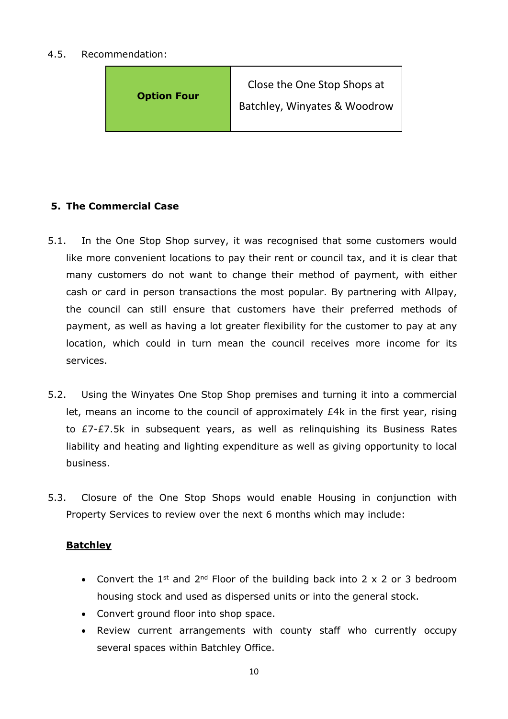#### 4.5. Recommendation:



#### **5. The Commercial Case**

- 5.1. In the One Stop Shop survey, it was recognised that some customers would like more convenient locations to pay their rent or council tax, and it is clear that many customers do not want to change their method of payment, with either cash or card in person transactions the most popular. By partnering with Allpay, the council can still ensure that customers have their preferred methods of payment, as well as having a lot greater flexibility for the customer to pay at any location, which could in turn mean the council receives more income for its services.
- 5.2. Using the Winyates One Stop Shop premises and turning it into a commercial let, means an income to the council of approximately £4k in the first year, rising to £7-£7.5k in subsequent years, as well as relinquishing its Business Rates liability and heating and lighting expenditure as well as giving opportunity to local business.
- 5.3. Closure of the One Stop Shops would enable Housing in conjunction with Property Services to review over the next 6 months which may include:

#### **Batchley**

- Convert the 1<sup>st</sup> and 2<sup>nd</sup> Floor of the building back into 2  $\times$  2 or 3 bedroom housing stock and used as dispersed units or into the general stock.
- Convert ground floor into shop space.
- Review current arrangements with county staff who currently occupy several spaces within Batchley Office.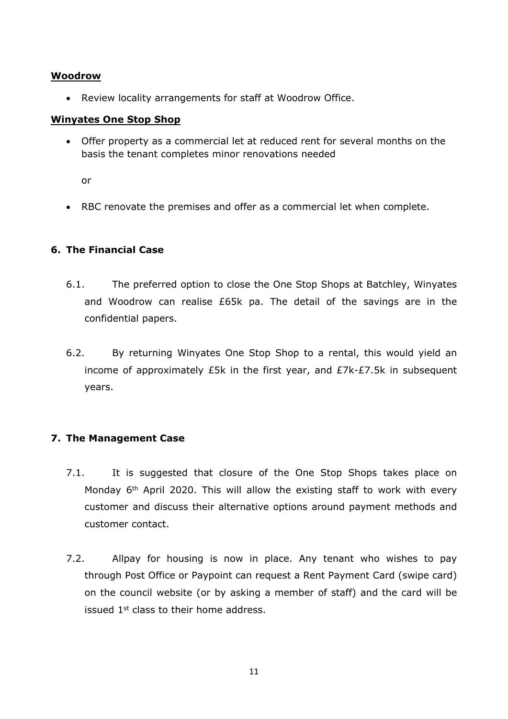#### **Woodrow**

Review locality arrangements for staff at Woodrow Office.

#### **Winyates One Stop Shop**

 Offer property as a commercial let at reduced rent for several months on the basis the tenant completes minor renovations needed

or

RBC renovate the premises and offer as a commercial let when complete.

#### **6. The Financial Case**

- 6.1. The preferred option to close the One Stop Shops at Batchley, Winyates and Woodrow can realise £65k pa. The detail of the savings are in the confidential papers.
- 6.2. By returning Winyates One Stop Shop to a rental, this would yield an income of approximately £5k in the first year, and £7k-£7.5k in subsequent years.

#### **7. The Management Case**

- 7.1. It is suggested that closure of the One Stop Shops takes place on Monday 6<sup>th</sup> April 2020. This will allow the existing staff to work with every customer and discuss their alternative options around payment methods and customer contact.
- 7.2. Allpay for housing is now in place. Any tenant who wishes to pay through Post Office or Paypoint can request a Rent Payment Card (swipe card) on the council website (or by asking a member of staff) and the card will be issued 1st class to their home address.